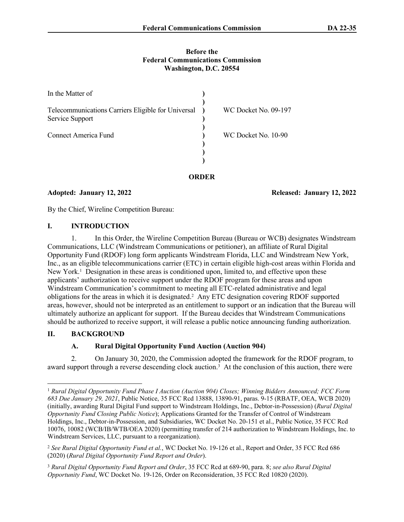#### **Before the Federal Communications Commission Washington, D.C. 20554**

| In the Matter of                                                      |  |                      |
|-----------------------------------------------------------------------|--|----------------------|
| Telecommunications Carriers Eligible for Universal<br>Service Support |  | WC Docket No. 09-197 |
| Connect America Fund                                                  |  | WC Docket No. 10-90  |
|                                                                       |  |                      |
|                                                                       |  |                      |

**Adopted: January 12, 2022 Released: January 12, 2022**

By the Chief, Wireline Competition Bureau:

#### **I. INTRODUCTION**

1. In this Order, the Wireline Competition Bureau (Bureau or WCB) designates Windstream Communications, LLC (Windstream Communications or petitioner), an affiliate of Rural Digital Opportunity Fund (RDOF) long form applicants Windstream Florida, LLC and Windstream New York, Inc., as an eligible telecommunications carrier (ETC) in certain eligible high-cost areas within Florida and New York.<sup>1</sup> Designation in these areas is conditioned upon, limited to, and effective upon these applicants' authorization to receive support under the RDOF program for these areas and upon Windstream Communication's commitment to meeting all ETC-related administrative and legal obligations for the areas in which it is designated.<sup>2</sup> Any ETC designation covering RDOF supported areas, however, should not be interpreted as an entitlement to support or an indication that the Bureau will ultimately authorize an applicant for support. If the Bureau decides that Windstream Communications should be authorized to receive support, it will release a public notice announcing funding authorization.

## **II. BACKGROUND**

# **A. Rural Digital Opportunity Fund Auction (Auction 904)**

2. On January 30, 2020, the Commission adopted the framework for the RDOF program, to award support through a reverse descending clock auction.<sup>3</sup> At the conclusion of this auction, there were

<sup>1</sup> *Rural Digital Opportunity Fund Phase I Auction (Auction 904) Closes; Winning Bidders Announced; FCC Form 683 Due January 29, 2021*, Public Notice, 35 FCC Rcd 13888, 13890-91, paras. 9-15 (RBATF, OEA, WCB 2020) (initially, awarding Rural Digital Fund support to Windstream Holdings, Inc., Debtor-in-Possession) (*Rural Digital Opportunity Fund Closing Public Notice*); Applications Granted for the Transfer of Control of Windstream Holdings, Inc., Debtor-in-Possession, and Subsidiaries, WC Docket No. 20-151 et al., Public Notice, 35 FCC Rcd 10076, 10082 (WCB/IB/WTB/OEA 2020) (permitting transfer of 214 authorization to Windstream Holdings, Inc. to Windstream Services, LLC, pursuant to a reorganization).

<sup>2</sup> *See Rural Digital Opportunity Fund et al.*, WC Docket No. 19-126 et al., Report and Order, 35 FCC Rcd 686 (2020) (*Rural Digital Opportunity Fund Report and Order*).

<sup>3</sup> *Rural Digital Opportunity Fund Report and Order*, 35 FCC Rcd at 689-90, para. 8; *see also Rural Digital Opportunity Fund*, WC Docket No. 19-126, Order on Reconsideration, 35 FCC Rcd 10820 (2020).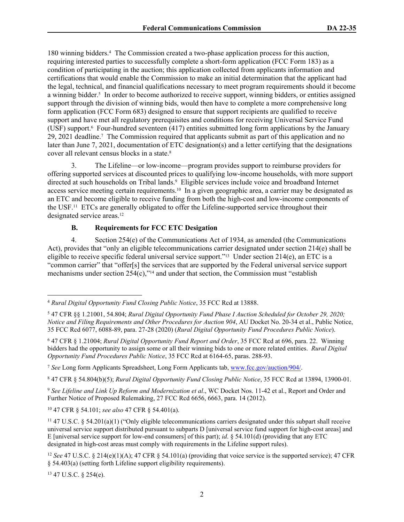180 winning bidders.<sup>4</sup> The Commission created a two-phase application process for this auction, requiring interested parties to successfully complete a short-form application (FCC Form 183) as a condition of participating in the auction; this application collected from applicants information and certifications that would enable the Commission to make an initial determination that the applicant had the legal, technical, and financial qualifications necessary to meet program requirements should it become a winning bidder.<sup>5</sup> In order to become authorized to receive support, winning bidders, or entities assigned support through the division of winning bids, would then have to complete a more comprehensive long form application (FCC Form 683) designed to ensure that support recipients are qualified to receive support and have met all regulatory prerequisites and conditions for receiving Universal Service Fund (USF) support.<sup>6</sup> Four-hundred seventeen (417) entities submitted long form applications by the January 29, 2021 deadline.<sup>7</sup> The Commission required that applicants submit as part of this application and no later than June 7, 2021, documentation of ETC designation(s) and a letter certifying that the designations cover all relevant census blocks in a state.<sup>8</sup>

3. The Lifeline—or low-income—program provides support to reimburse providers for offering supported services at discounted prices to qualifying low-income households, with more support directed at such households on Tribal lands.<sup>9</sup> Eligible services include voice and broadband Internet access service meeting certain requirements.10 In a given geographic area, a carrier may be designated as an ETC and become eligible to receive funding from both the high-cost and low-income components of the USF.11 ETCs are generally obligated to offer the Lifeline-supported service throughout their designated service areas.<sup>12</sup>

#### **B. Requirements for FCC ETC Desigation**

4. Section 254(e) of the Communications Act of 1934, as amended (the Communications Act), provides that "only an eligible telecommunications carrier designated under section 214(e) shall be eligible to receive specific federal universal service support."<sup>13</sup> Under section  $214(e)$ , an ETC is a "common carrier" that "offer[s] the services that are supported by the Federal universal service support mechanisms under section  $254(c)$ ,  $\frac{14}{14}$  and under that section, the Commission must "establish

<sup>7</sup> *See* Long form Applicants Spreadsheet, Long Form Applicants tab, [www.fcc.gov/auction/904/](https://www.fcc.gov/auction/904/).

8 47 CFR § 54.804(b)(5); *Rural Digital Opportunity Fund Closing Public Notice*, 35 FCC Rcd at 13894, 13900-01.

<sup>9</sup> *See Lifeline and Link Up Reform and Modernization et al*., WC Docket Nos. 11-42 et al., Report and Order and Further Notice of Proposed Rulemaking, 27 FCC Rcd 6656, 6663, para. 14 (2012).

<sup>10</sup> 47 CFR § 54.101; *see also* 47 CFR § 54.401(a).

<sup>11</sup> 47 U.S.C. § 54.201(a)(1) ("Only eligible telecommunications carriers designated under this subpart shall receive universal service support distributed pursuant to subparts D [universal service fund support for high-cost areas] and E [universal service support for low-end consumers] of this part); *id*. § 54.101(d) (providing that any ETC designated in high-cost areas must comply with requirements in the Lifeline support rules).

13 47 U.S.C. § 254(e).

<sup>4</sup> *Rural Digital Opportunity Fund Closing Public Notice*, 35 FCC Rcd at 13888.

<sup>5</sup> 47 CFR §§ 1.21001, 54.804; *Rural Digital Opportunity Fund Phase I Auction Scheduled for October 29, 2020; Notice and Filing Requirements and Other Procedures for Auction 904*, AU Docket No. 20-34 et al., Public Notice, 35 FCC Rcd 6077, 6088-89, para. 27-28 (2020) (*Rural Digital Opportunity Fund Procedures Public Notice*).

<sup>6</sup> 47 CFR § 1.21004; *Rural Digital Opportunity Fund Report and Order*, 35 FCC Rcd at 696, para. 22. Winning bidders had the opportunity to assign some or all their winning bids to one or more related entities. *Rural Digital Opportunity Fund Procedures Public Notice*, 35 FCC Rcd at 6164-65, paras. 288-93.

<sup>&</sup>lt;sup>12</sup> *See* 47 U.S.C. § 214(e)(1)(A); 47 CFR § 54.101(a) (providing that voice service is the supported service); 47 CFR § 54.403(a) (setting forth Lifeline support eligibility requirements).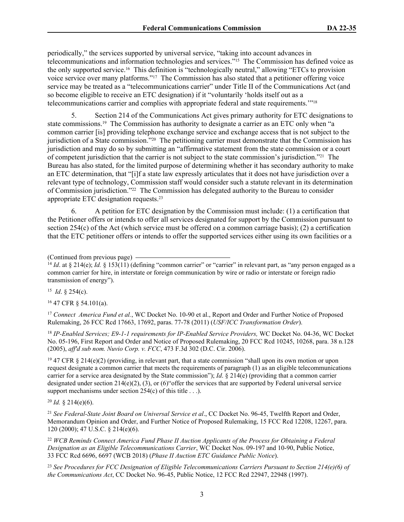periodically," the services supported by universal service, "taking into account advances in telecommunications and information technologies and services."15 The Commission has defined voice as the only supported service.16 This definition is "technologically neutral," allowing "ETCs to provision voice service over many platforms."17 The Commission has also stated that a petitioner offering voice service may be treated as a "telecommunications carrier" under Title II of the Communications Act (and so become eligible to receive an ETC designation) if it "voluntarily 'holds itself out as a telecommunications carrier and complies with appropriate federal and state requirements.'"<sup>18</sup>

5. Section 214 of the Communications Act gives primary authority for ETC designations to state commissions.19 The Commission has authority to designate a carrier as an ETC only when "a common carrier [is] providing telephone exchange service and exchange access that is not subject to the jurisdiction of a State commission."20 The petitioning carrier must demonstrate that the Commission has jurisdiction and may do so by submitting an "affirmative statement from the state commission or a court of competent jurisdiction that the carrier is not subject to the state commission's jurisdiction."21 The Bureau has also stated, for the limited purpose of determining whether it has secondary authority to make an ETC determination, that "[i]f a state law expressly articulates that it does not have jurisdiction over a relevant type of technology, Commission staff would consider such a statute relevant in its determination of Commission jurisdiction."22 The Commission has delegated authority to the Bureau to consider appropriate ETC designation requests.<sup>23</sup>

6. A petition for ETC designation by the Commission must include: (1) a certification that the Petitioner offers or intends to offer all services designated for support by the Commission pursuant to section  $254(c)$  of the Act (which service must be offered on a common carriage basis); (2) a certification that the ETC petitioner offers or intends to offer the supported services either using its own facilities or a

<sup>15</sup> *Id.* § 254(c).

<sup>16</sup> 47 CFR § 54.101(a).

<sup>17</sup> *Connect America Fund et al.*, WC Docket No. 10-90 et al., Report and Order and Further Notice of Proposed Rulemaking, 26 FCC Rcd 17663, 17692, paras. 77-78 (2011) (*USF/ICC Transformation Order*).

<sup>18</sup> *IP-Enabled Services; E9-1-1 requirements for IP-Enabled Service Providers,* WC Docket No. 04-36, WC Docket No. 05-196, First Report and Order and Notice of Proposed Rulemaking, 20 FCC Rcd 10245, 10268, para. 38 n.128 (2005), *aff'd sub nom. Nuvio Corp. v. FCC*, 473 F.3d 302 (D.C. Cir. 2006).

<sup>19</sup> 47 CFR § 214(e)(2) (providing, in relevant part, that a state commission "shall upon its own motion or upon request designate a common carrier that meets the requirements of paragraph (1) as an eligible telecommunications carrier for a service area designated by the State commission"); *Id.* § 214(e) (providing that a common carrier designated under section  $214(e)(2)$ , (3), or (6) offer the services that are supported by Federal universal service support mechanisms under section 254(c) of this title . . .).

 $^{20}$  *Id.* § 214(e)(6).

<sup>21</sup> *See Federal-State Joint Board on Universal Service et al*., CC Docket No. 96-45, Twelfth Report and Order, Memorandum Opinion and Order, and Further Notice of Proposed Rulemaking, 15 FCC Rcd 12208, 12267, para. 120 (2000); 47 U.S.C. § 214(e)(6).

<sup>22</sup> *WCB Reminds Connect America Fund Phase II Auction Applicants of the Process for Obtaining a Federal Designation as an Eligible Telecommunications Carrier*, WC Docket Nos. 09-197 and 10-90, Public Notice, 33 FCC Rcd 6696, 6697 (WCB 2018) (*Phase II Auction ETC Guidance Public Notice*).

<sup>23</sup> *See Procedures for FCC Designation of Eligible Telecommunications Carriers Pursuant to Section 214(e)(6) of the Communications Act*, CC Docket No. 96-45, Public Notice, 12 FCC Rcd 22947, 22948 (1997).

<sup>(</sup>Continued from previous page)

<sup>&</sup>lt;sup>14</sup> *Id.* at § 214(e); *Id.* § 153(11) (defining "common carrier" or "carrier" in relevant part, as "any person engaged as a common carrier for hire, in interstate or foreign communication by wire or radio or interstate or foreign radio transmission of energy").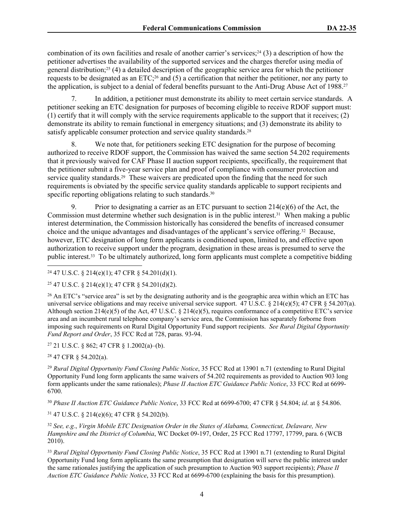combination of its own facilities and resale of another carrier's services;<sup>24</sup> (3) a description of how the petitioner advertises the availability of the supported services and the charges therefor using media of general distribution;25 (4) a detailed description of the geographic service area for which the petitioner requests to be designated as an ETC;26 and (5) a certification that neither the petitioner, nor any party to the application, is subject to a denial of federal benefits pursuant to the Anti-Drug Abuse Act of 1988.<sup>27</sup>

7. In addition, a petitioner must demonstrate its ability to meet certain service standards. A petitioner seeking an ETC designation for purposes of becoming eligible to receive RDOF support must: (1) certify that it will comply with the service requirements applicable to the support that it receives; (2) demonstrate its ability to remain functional in emergency situations; and (3) demonstrate its ability to satisfy applicable consumer protection and service quality standards.<sup>28</sup>

8. We note that, for petitioners seeking ETC designation for the purpose of becoming authorized to receive RDOF support, the Commission has waived the same section 54.202 requirements that it previously waived for CAF Phase II auction support recipients, specifically, the requirement that the petitioner submit a five-year service plan and proof of compliance with consumer protection and service quality standards.<sup>29</sup> These waivers are predicated upon the finding that the need for such requirements is obviated by the specific service quality standards applicable to support recipients and specific reporting obligations relating to such standards.<sup>30</sup>

9. Prior to designating a carrier as an ETC pursuant to section  $214(e)(6)$  of the Act, the Commission must determine whether such designation is in the public interest.31 When making a public interest determination, the Commission historically has considered the benefits of increased consumer choice and the unique advantages and disadvantages of the applicant's service offering.32 Because, however, ETC designation of long form applicants is conditioned upon, limited to, and effective upon authorization to receive support under the program, designation in these areas is presumed to serve the public interest.33 To be ultimately authorized, long form applicants must complete a competitive bidding

 $24$  47 U.S.C. § 214(e)(1); 47 CFR § 54.201(d)(1).

<sup>25</sup> 47 U.S.C. § 214(e)(1); 47 CFR § 54.201(d)(2).

<sup>26</sup> An ETC's "service area" is set by the designating authority and is the geographic area within which an ETC has universal service obligations and may receive universal service support. 47 U.S.C.  $\S 214(e)(5)$ ; 47 CFR  $\S 54.207(a)$ . Although section 214(e)(5) of the Act, 47 U.S.C. § 214(e)(5), requires conformance of a competitive ETC's service area and an incumbent rural telephone company's service area, the Commission has separately forborne from imposing such requirements on Rural Digital Opportunity Fund support recipients. *See Rural Digital Opportunity Fund Report and Order*, 35 FCC Rcd at 728, paras. 93-94.

<sup>27</sup> 21 U.S.C. § 862; 47 CFR § 1.2002(a)–(b).

<sup>28</sup> 47 CFR § 54.202(a).

<sup>29</sup> *Rural Digital Opportunity Fund Closing Public Notice*, 35 FCC Rcd at 13901 n.71 (extending to Rural Digital Opportunity Fund long form applicants the same waivers of 54.202 requirements as provided to Auction 903 long form applicants under the same rationales); *Phase II Auction ETC Guidance Public Notice*, 33 FCC Rcd at 6699- 6700.

<sup>30</sup> *Phase II Auction ETC Guidance Public Notice*, 33 FCC Rcd at 6699-6700; 47 CFR § 54.804; *id*. at § 54.806.

<sup>31</sup> 47 U.S.C. § 214(e)(6); 47 CFR § 54.202(b).

<sup>32</sup> *See, e.g.*, *Virgin Mobile ETC Designation Order in the States of Alabama, Connecticut, Delaware, New Hampshire and the District of Columbia*, WC Docket 09-197, Order, 25 FCC Rcd 17797, 17799, para. 6 (WCB 2010).

<sup>33</sup> *Rural Digital Opportunity Fund Closing Public Notice*, 35 FCC Rcd at 13901 n.71 (extending to Rural Digital Opportunity Fund long form applicants the same presumption that designation will serve the public interest under the same rationales justifying the application of such presumption to Auction 903 support recipients); *Phase II Auction ETC Guidance Public Notice*, 33 FCC Rcd at 6699-6700 (explaining the basis for this presumption).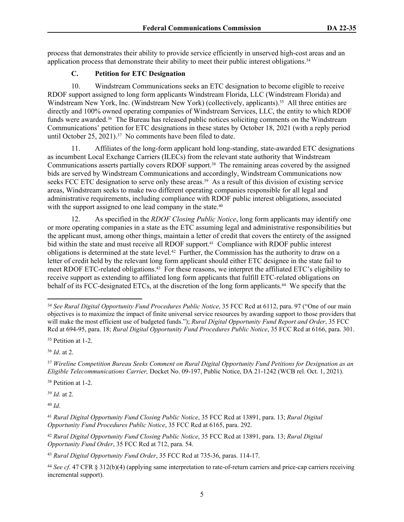process that demonstrates their ability to provide service efficiently in unserved high-cost areas and an application process that demonstrate their ability to meet their public interest obligations.<sup>34</sup>

## **C. Petition for ETC Designation**

10. Windstream Communications seeks an ETC designation to become eligible to receive RDOF support assigned to long form applicants Windstream Florida, LLC (Windstream Florida) and Windstream New York, Inc. (Windstream New York) (collectively, applicants).<sup>35</sup> All three entities are directly and 100% owned operating companies of Windstream Services, LLC, the entity to which RDOF funds were awarded.<sup>36</sup> The Bureau has released public notices soliciting comments on the Windstream Communications' petition for ETC designations in these states by October 18, 2021 (with a reply period until October 25, 2021).<sup>37</sup> No comments have been filed to date.

11. Affiliates of the long-form applicant hold long-standing, state-awarded ETC designations as incumbent Local Exchange Carriers (ILECs) from the relevant state authority that Windstream Communications asserts partially covers RDOF support.38 The remaining areas covered by the assigned bids are served by Windstream Communications and accordingly, Windstream Communications now seeks FCC ETC designation to serve only these areas.<sup>39</sup> As a result of this division of existing service areas, Windstream seeks to make two different operating companies responsible for all legal and administrative requirements, including compliance with RDOF public interest obligations, associated with the support assigned to one lead company in the state.<sup>40</sup>

12. As specified in the *RDOF Closing Public Notice*, long form applicants may identify one or more operating companies in a state as the ETC assuming legal and administrative responsibilities but the applicant must, among other things, maintain a letter of credit that covers the entirety of the assigned bid within the state and must receive all RDOF support.<sup>41</sup> Compliance with RDOF public interest obligations is determined at the state level.42 Further, the Commission has the authority to draw on a letter of credit held by the relevant long form applicant should either ETC designee in the state fail to meet RDOF ETC-related obligations.<sup>43</sup> For these reasons, we interpret the affiliated ETC's eligibility to receive support as extending to affiliated long form applicants that fulfill ETC-related obligations on behalf of its FCC-designated ETCs, at the discretion of the long form applicants.44 We specify that the

<sup>38</sup> Petition at 1-2.

<sup>39</sup> *Id*. at 2.

<sup>40</sup> *Id*.

<sup>34</sup> *See Rural Digital Opportunity Fund Procedures Public Notice*, 35 FCC Rcd at 6112, para. 97 ("One of our main objectives is to maximize the impact of finite universal service resources by awarding support to those providers that will make the most efficient use of budgeted funds."); *Rural Digital Opportunity Fund Report and Order*, 35 FCC Rcd at 694-95, para. 18; *Rural Digital Opportunity Fund Procedures Public Notice*, 35 FCC Rcd at 6166, para. 301.

<sup>35</sup> Petition at 1-2.

<sup>36</sup> *Id*. at 2.

<sup>37</sup> *Wireline Competition Bureau Seeks Comment on Rural Digital Opportunity Fund Petitions for Designation as an Eligible Telecommunications Carrier,* Docket No. 09-197, Public Notice, DA 21-1242 (WCB rel. Oct. 1, 2021).

<sup>41</sup> *Rural Digital Opportunity Fund Closing Public Notice*, 35 FCC Rcd at 13891, para. 13; *Rural Digital Opportunity Fund Procedures Public Notice*, 35 FCC Rcd at 6165, para. 292.

<sup>42</sup> *Rural Digital Opportunity Fund Closing Public Notice*, 35 FCC Rcd at 13891, para. 13; *Rural Digital Opportunity Fund Order*, 35 FCC Rcd at 712, para. 54.

<sup>43</sup> *Rural Digital Opportunity Fund Order*, 35 FCC Rcd at 735-36, paras. 114-17.

<sup>44</sup> *See cf*. 47 CFR § 312(b)(4) (applying same interpretation to rate-of-return carriers and price-cap carriers receiving incremental support).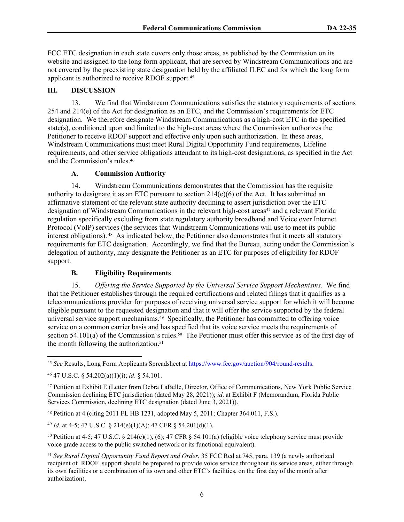FCC ETC designation in each state covers only those areas, as published by the Commission on its website and assigned to the long form applicant, that are served by Windstream Communications and are not covered by the preexisting state designation held by the affiliated ILEC and for which the long form applicant is authorized to receive RDOF support.<sup>45</sup>

## **III. DISCUSSION**

13. We find that Windstream Communications satisfies the statutory requirements of sections 254 and 214(e) of the Act for designation as an ETC, and the Commission's requirements for ETC designation. We therefore designate Windstream Communications as a high-cost ETC in the specified state(s), conditioned upon and limited to the high-cost areas where the Commission authorizes the Petitioner to receive RDOF support and effective only upon such authorization. In these areas, Windstream Communications must meet Rural Digital Opportunity Fund requirements, Lifeline requirements, and other service obligations attendant to its high-cost designations, as specified in the Act and the Commission's rules.<sup>46</sup>

## **A. Commission Authority**

14. Windstream Communications demonstrates that the Commission has the requisite authority to designate it as an ETC pursuant to section 214(e)(6) of the Act. It has submitted an affirmative statement of the relevant state authority declining to assert jurisdiction over the ETC designation of Windstream Communications in the relevant high-cost areas<sup>47</sup> and a relevant Florida regulation specifically excluding from state regulatory authority broadband and Voice over Internet Protocol (VoIP) services (the services that Windstream Communications will use to meet its public interest obligations). 48 As indicated below, the Petitioner also demonstrates that it meets all statutory requirements for ETC designation. Accordingly, we find that the Bureau, acting under the Commission's delegation of authority, may designate the Petitioner as an ETC for purposes of eligibility for RDOF support.

## **B. Eligibility Requirements**

15. *Offering the Service Supported by the Universal Service Support Mechanisms*. We find that the Petitioner establishes through the required certifications and related filings that it qualifies as a telecommunications provider for purposes of receiving universal service support for which it will become eligible pursuant to the requested designation and that it will offer the service supported by the federal universal service support mechanisms.49 Specifically, the Petitioner has committed to offering voice service on a common carrier basis and has specified that its voice service meets the requirements of section 54.101(a) of the Commission's rules.<sup>50</sup> The Petitioner must offer this service as of the first day of the month following the authorization.<sup>51</sup>

<sup>48</sup> Petition at 4 (citing 2011 FL HB 1231, adopted May 5, 2011; Chapter 364.011, F.S.).

<sup>49</sup> *Id*. at 4-5; 47 U.S.C. § 214(e)(1)(A); 47 CFR § 54.201(d)(1).

<sup>50</sup> Petition at 4-5; 47 U.S.C. § 214(e)(1), (6); 47 CFR § 54.101(a) (eligible voice telephony service must provide voice grade access to the public switched network or its functional equivalent).

<sup>45</sup> *See* Results, Long Form Applicants Spreadsheet at <https://www.fcc.gov/auction/904/round-results>.

<sup>46</sup> 47 U.S.C. § 54.202(a)(1)(i); *id*. § 54.101.

<sup>47</sup> Petition at Exhibit E (Letter from Debra LaBelle, Director, Office of Communications, New York Public Service Commission declining ETC jurisdiction (dated May 28, 2021)); *id*. at Exhibit F (Memorandum, Florida Public Services Commission, declining ETC designation (dated June 3, 2021)).

<sup>51</sup> *See Rural Digital Opportunity Fund Report and Order*, 35 FCC Rcd at 745, para. 139 (a newly authorized recipient of RDOF support should be prepared to provide voice service throughout its service areas, either through its own facilities or a combination of its own and other ETC's facilities, on the first day of the month after authorization).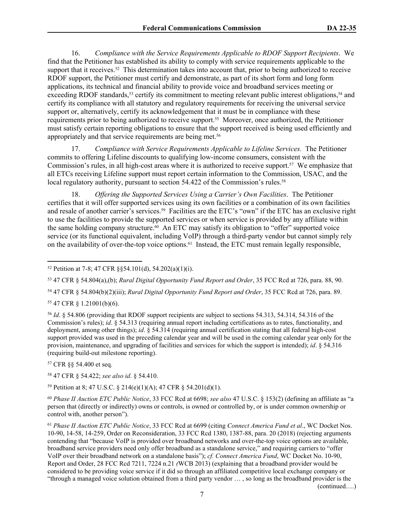16. *Compliance with the Service Requirements Applicable to RDOF Support Recipients*. We find that the Petitioner has established its ability to comply with service requirements applicable to the support that it receives.<sup>52</sup> This determination takes into account that, prior to being authorized to receive RDOF support, the Petitioner must certify and demonstrate, as part of its short form and long form applications, its technical and financial ability to provide voice and broadband services meeting or exceeding RDOF standards,<sup>53</sup> certify its commitment to meeting relevant public interest obligations,<sup>54</sup> and certify its compliance with all statutory and regulatory requirements for receiving the universal service support or, alternatively, certify its acknowledgement that it must be in compliance with these requirements prior to being authorized to receive support.55 Moreover, once authorized, the Petitioner must satisfy certain reporting obligations to ensure that the support received is being used efficiently and appropriately and that service requirements are being met.<sup>56</sup>

17. *Compliance with Service Requirements Applicable to Lifeline Services.* The Petitioner commits to offering Lifeline discounts to qualifying low-income consumers, consistent with the Commission's rules, in all high-cost areas where it is authorized to receive support.57 We emphasize that all ETCs receiving Lifeline support must report certain information to the Commission, USAC, and the local regulatory authority, pursuant to section 54.422 of the Commission's rules.<sup>58</sup>

18. *Offering the Supported Services Using a Carrier's Own Facilities*. The Petitioner certifies that it will offer supported services using its own facilities or a combination of its own facilities and resale of another carrier's services.<sup>59</sup> Facilities are the ETC's "own" if the ETC has an exclusive right to use the facilities to provide the supported services or when service is provided by any affiliate within the same holding company structure.<sup>60</sup> An ETC may satisfy its obligation to "offer" supported voice service (or its functional equivalent, including VoIP) through a third-party vendor but cannot simply rely on the availability of over-the-top voice options.61 Instead, the ETC must remain legally responsible,

<sup>53</sup> 47 CFR § 54.804(a),(b); *Rural Digital Opportunity Fund Report and Order*, 35 FCC Rcd at 726, para. 88, 90.

<sup>54</sup> 47 CFR § 54.804(b)(2)(iii); *Rural Digital Opportunity Fund Report and Order*, 35 FCC Rcd at 726, para. 89.

<sup>55</sup> 47 CFR § 1.21001(b)(6).

<sup>56</sup> *Id*. § 54.806 (providing that RDOF support recipients are subject to sections 54.313, 54.314, 54.316 of the Commission's rules); *id*. § 54.313 (requiring annual report including certifications as to rates, functionality, and deployment, among other things); *id*. § 54.314 (requiring annual certification stating that all federal high-cost support provided was used in the preceding calendar year and will be used in the coming calendar year only for the provision, maintenance, and upgrading of facilities and services for which the support is intended); *id*. § 54.316 (requiring build-out milestone reporting).

<sup>57</sup> CFR §§ 54.400 et seq.

<sup>58</sup> 47 CFR § 54.422; *see also id*. § 54.410.

<sup>59</sup> Petition at 8; 47 U.S.C. § 214(e)(1)(A); 47 CFR § 54.201(d)(1).

<sup>60</sup> *Phase II Auction ETC Public Notice*, 33 FCC Rcd at 6698; *see also* 47 U.S.C. § 153(2) (defining an affiliate as "a person that (directly or indirectly) owns or controls, is owned or controlled by, or is under common ownership or control with, another person").

<sup>61</sup> *Phase II Auction ETC Public Notice*, 33 FCC Rcd at 6699 (citing *Connect America Fund et al*., WC Docket Nos. 10-90, 14-58, 14-259, Order on Reconsideration, 33 FCC Rcd 1380, 1387-88, para. 20 (2018) (rejecting arguments contending that "because VoIP is provided over broadband networks and over-the-top voice options are available, broadband service providers need only offer broadband as a standalone service," and requiring carriers to "offer VoIP over their broadband network on a standalone basis"); *cf. Connect America Fund*, WC Docket No. 10-90, Report and Order, 28 FCC Rcd 7211, 7224 n.21 *(*WCB 2013) (explaining that a broadband provider would be considered to be providing voice service if it did so through an affiliated competitive local exchange company or "through a managed voice solution obtained from a third party vendor … , so long as the broadband provider is the

(continued….)

<sup>52</sup> Petition at 7-8; [47 CFR §§54.101\(d\), 54.202\(a\)\(1\)\(i\).](https://1.next.westlaw.com/Link/Document/FullText?findType=L&pubNum=1000547&cite=47CFRS54.202&originatingDoc=I9c57e1c1861511e8bbbcd57aa014637b&refType=RB&originationContext=document&transitionType=DocumentItem&contextData=(sc.Search)#co_pp_425b00005c4b2)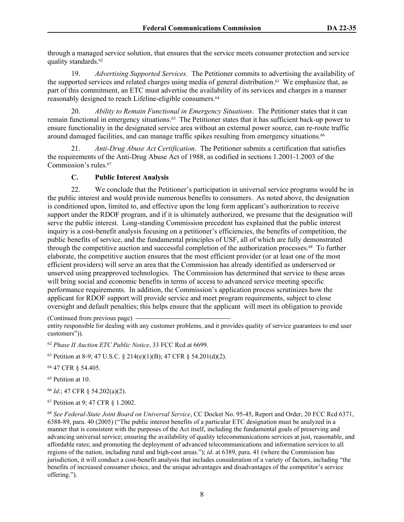through a managed service solution, that ensures that the service meets consumer protection and service quality standards.<sup>62</sup>

19. *Advertising Supported Services.* The Petitioner commits to advertising the availability of the supported services and related charges using media of general distribution.63 We emphasize that, as part of this commitment, an ETC must advertise the availability of its services and charges in a manner reasonably designed to reach Lifeline-eligible consumers.<sup>64</sup>

20. *Ability to Remain Functional in Emergency Situations*. The Petitioner states that it can remain functional in emergency situations.65 The Petitioner states that it has sufficient back-up power to ensure functionality in the designated service area without an external power source, can re-route traffic around damaged facilities, and can manage traffic spikes resulting from emergency situations.<sup>66</sup>

21. *Anti-Drug Abuse Act Certification*. The Petitioner submits a certification that satisfies the requirements of the Anti-Drug Abuse Act of 1988, as codified in sections 1.2001-1.2003 of the Commission's rules.<sup>67</sup>

## **C. Public Interest Analysis**

22. We conclude that the Petitioner's participation in universal service programs would be in the public interest and would provide numerous benefits to consumers. As noted above, the designation is conditioned upon, limited to, and effective upon the long form applicant's authorization to receive support under the RDOF program, and if it is ultimately authorized, we presume that the designation will serve the public interest. Long-standing Commission precedent has explained that the public interest inquiry is a cost-benefit analysis focusing on a petitioner's efficiencies, the benefits of competition, the public benefits of service, and the fundamental principles of USF, all of which are fully demonstrated through the competitive auction and successful completion of the authorization processes.68 To further elaborate, the competitive auction ensures that the most efficient provider (or at least one of the most efficient providers) will serve an area that the Commission has already identified as underserved or unserved using preapproved technologies. The Commission has determined that service to these areas will bring social and economic benefits in terms of access to advanced service meeting specific performance requirements. In addition, the Commission's application process scrutinizes how the applicant for RDOF support will provide service and meet program requirements, subject to close oversight and default penalties; this helps ensure that the applicant will meet its obligation to provide

(Continued from previous page) entity responsible for dealing with any customer problems, and it provides quality of service guarantees to end user customers")).

<sup>62</sup> *Phase II Auction ETC Public Notice*, 33 FCC Rcd at 6699.

<sup>63</sup> Petition at 8-9; 47 U.S.C. § 214(e)(1)(B); 47 CFR § 54.201(d)(2).

<sup>64</sup> 47 CFR § 54.405.

<sup>65</sup> Petition at 10.

<sup>66</sup> *Id*.; [47 CFR § 54.202\(a\)\(2\).](https://1.next.westlaw.com/Link/Document/FullText?findType=L&pubNum=1000547&cite=47CFRS54.202&originatingDoc=I9c57e1c1861511e8bbbcd57aa014637b&refType=RB&originationContext=document&transitionType=DocumentItem&contextData=(sc.Search)#co_pp_d86d0000be040)

<sup>67</sup> Petition at 9; 47 CFR § 1.2002.

<sup>68</sup> *See Federal-State Joint Board on Universal Service*, CC Docket No. 95-45, Report and Order, 20 FCC Rcd 6371, 6388-89, para. 40 (2005) ("The public interest benefits of a particular ETC designation must be analyzed in a manner that is consistent with the purposes of the Act itself, including the fundamental goals of preserving and advancing universal service; ensuring the availability of quality telecommunications services at just, reasonable, and affordable rates; and promoting the deployment of advanced telecommunications and information services to all regions of the nation, including rural and high-cost areas."); *id*. at 6389, para. 41 (where the Commission has jurisdiction, it will conduct a cost-benefit analysis that includes consideration of a variety of factors, including "the benefits of increased consumer choice, and the unique advantages and disadvantages of the competitor's service offering.").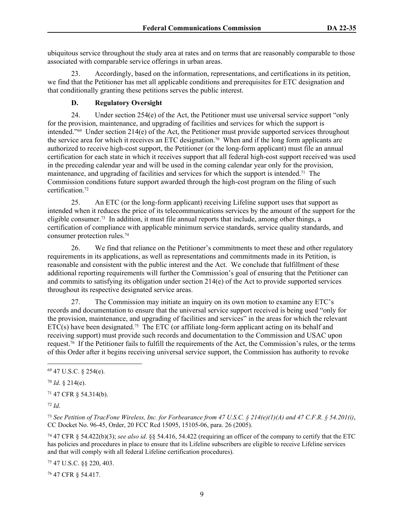ubiquitous service throughout the study area at rates and on terms that are reasonably comparable to those associated with comparable service offerings in urban areas.

23. Accordingly, based on the information, representations, and certifications in its petition, we find that the Petitioner has met all applicable conditions and prerequisites for ETC designation and that conditionally granting these petitions serves the public interest.

## **D. Regulatory Oversight**

24. Under section 254(e) of the Act, the Petitioner must use universal service support "only for the provision, maintenance, and upgrading of facilities and services for which the support is intended."69 Under section 214(e) of the Act, the Petitioner must provide supported services throughout the service area for which it receives an ETC designation.70 When and if the long form applicants are authorized to receive high-cost support, the Petitioner (or the long-form applicant) must file an annual certification for each state in which it receives support that all federal high-cost support received was used in the preceding calendar year and will be used in the coming calendar year only for the provision, maintenance, and upgrading of facilities and services for which the support is intended.71 The Commission conditions future support awarded through the high-cost program on the filing of such certification.<sup>72</sup>

25. An ETC (or the long-form applicant) receiving Lifeline support uses that support as intended when it reduces the price of its telecommunications services by the amount of the support for the eligible consumer.73 In addition, it must file annual reports that include, among other things, a certification of compliance with applicable minimum service standards, service quality standards, and consumer protection rules.<sup>74</sup>

26. We find that reliance on the Petitioner's commitments to meet these and other regulatory requirements in its applications, as well as representations and commitments made in its Petition, is reasonable and consistent with the public interest and the Act. We conclude that fulfillment of these additional reporting requirements will further the Commission's goal of ensuring that the Petitioner can and commits to satisfying its obligation under section 214(e) of the Act to provide supported services throughout its respective designated service areas.

27. The Commission may initiate an inquiry on its own motion to examine any ETC's records and documentation to ensure that the universal service support received is being used "only for the provision, maintenance, and upgrading of facilities and services" in the areas for which the relevant  $ET\ddot{C}(s)$  have been designated.<sup>75</sup> The ETC (or affiliate long-form applicant acting on its behalf and receiving support) must provide such records and documentation to the Commission and USAC upon request.76 If the Petitioner fails to fulfill the requirements of the Act, the Commission's rules, or the terms of this Order after it begins receiving universal service support, the Commission has authority to revoke

<sup>71</sup> 47 CFR § 54.314(b).

<sup>72</sup> *Id*.

<sup>73</sup> *See Petition of TracFone Wireless, Inc. for Forbearance from 47 U.S.C. § 214(e)(1)(A) and 47 C.F.R. § 54.201(i)*, CC Docket No. 96-45, Order, 20 FCC Rcd 15095, 15105-06, para. 26 (2005).

<sup>74</sup> 47 CFR § 54.422(b)(3); *see also id*. §§ 54.416, 54.422 (requiring an officer of the company to certify that the ETC has policies and procedures in place to ensure that its Lifeline subscribers are eligible to receive Lifeline services and that will comply with all federal Lifeline certification procedures).

<sup>75</sup> 47 U.S.C. §§ 220, 403.

76 47 CFR § 54.417.

<sup>69</sup> 47 U.S.C. § 254(e).

<sup>70</sup> *Id*. § 214(e).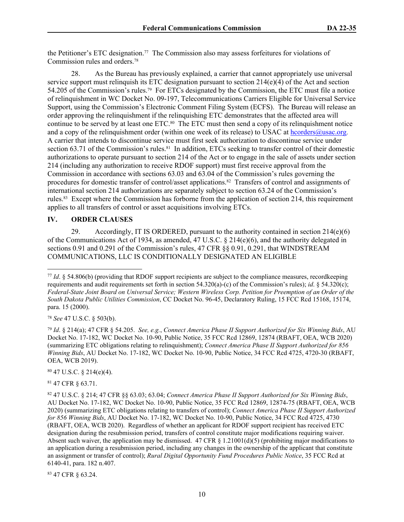the Petitioner's ETC designation.77 The Commission also may assess forfeitures for violations of Commission rules and orders.<sup>78</sup>

28. As the Bureau has previously explained, a carrier that cannot appropriately use universal service support must relinquish its ETC designation pursuant to section  $214(e)(4)$  of the Act and section 54.205 of the Commission's rules.79 For ETCs designated by the Commission, the ETC must file a notice of relinquishment in WC Docket No. 09-197, Telecommunications Carriers Eligible for Universal Service Support, using the Commission's Electronic Comment Filing System (ECFS). The Bureau will release an order approving the relinquishment if the relinquishing ETC demonstrates that the affected area will continue to be served by at least one ETC.80 The ETC must then send a copy of its relinquishment notice and a copy of the relinquishment order (within one week of its release) to USAC at [hcorders@usac.org](mailto:hcorders@usac.org). A carrier that intends to discontinue service must first seek authorization to discontinue service under section 63.71 of the Commission's rules.<sup>81</sup> In addition, ETCs seeking to transfer control of their domestic authorizations to operate pursuant to section 214 of the Act or to engage in the sale of assets under section 214 (including any authorization to receive RDOF support) must first receive approval from the Commission in accordance with sections 63.03 and 63.04 of the Commission's rules governing the procedures for domestic transfer of control/asset applications.82 Transfers of control and assignments of international section 214 authorizations are separately subject to section 63.24 of the Commission's rules.83 Except where the Commission has forborne from the application of section 214, this requirement applies to all transfers of control or asset acquisitions involving ETCs.

#### **IV. ORDER CLAUSES**

29. Accordingly, IT IS ORDERED, pursuant to the authority contained in section 214(e)(6) of the Communications Act of 1934, as amended, 47 U.S.C.  $\S$  214(e)(6), and the authority delegated in sections 0.91 and 0.291 of the Commission's rules, 47 CFR §§ 0.91, 0.291, that WINDSTREAM COMMUNICATIONS, LLC IS CONDITIONALLY DESIGNATED AN ELIGIBLE

<sup>78</sup> *See* 47 U.S.C. § 503(b).

<sup>79</sup> *Id*. § 214(a); 47 CFR § 54.205. *See, e.g.*, *Connect America Phase II Support Authorized for Six Winning Bids*, AU Docket No. 17-182, WC Docket No. 10-90, Public Notice, 35 FCC Rcd 12869, 12874 (RBAFT, OEA, WCB 2020) (summarizing ETC obligations relating to relinquishment); *Connect America Phase II Support Authorized for 856 Winning Bids*, AU Docket No. 17-182, WC Docket No. 10-90, Public Notice, 34 FCC Rcd 4725, 4720-30 (RBAFT, OEA, WCB 2019).

 $80$  47 U.S.C. § 214(e)(4).

<sup>81</sup> 47 CFR § 63.71.

83 47 CFR § 63.24.

<sup>77</sup> *Id*. § 54.806(b) (providing that RDOF support recipients are subject to the compliance measures, recordkeeping requirements and audit requirements set forth in section 54.320(a)-(c) of the Commission's rules); *id*. § 54.320(c); *Federal-State Joint Board on Universal Service; Western Wireless Corp. Petition for Preemption of an Order of the South Dakota Public Utilities Commission*, CC Docket No. 96-45, Declaratory Ruling, 15 FCC Rcd 15168, 15174, para. 15 (2000).

<sup>82</sup> 47 U.S.C. § 214; 47 CFR §§ 63.03; 63.04; *Connect America Phase II Support Authorized for Six Winning Bids*, AU Docket No. 17-182, WC Docket No. 10-90, Public Notice, 35 FCC Rcd 12869, 12874-75 (RBAFT, OEA, WCB 2020) (summarizing ETC obligations relating to transfers of control); *Connect America Phase II Support Authorized for 856 Winning Bids*, AU Docket No. 17-182, WC Docket No. 10-90, Public Notice, 34 FCC Rcd 4725, 4730 (RBAFT, OEA, WCB 2020). Regardless of whether an applicant for RDOF support recipient has received ETC designation during the resubmission period, transfers of control constitute major modifications requiring waiver. Absent such waiver, the application may be dismissed. 47 CFR § 1.21001(d)(5) (prohibiting major modifications to an application during a resubmission period, including any changes in the ownership of the applicant that constitute an assignment or transfer of control); *Rural Digital Opportunity Fund Procedures Public Notice*, 35 FCC Rcd at 6140-41, para. 182 n.407.